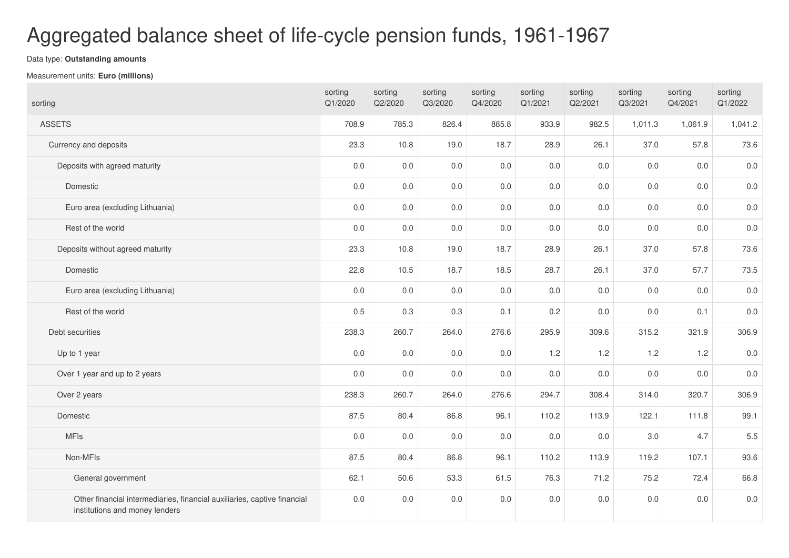## Aggregated balance sheet of life-cycle pension funds, 1961-1967

## Data type: **Outstanding amounts**

## Measurement units: **Euro (millions)**

| sorting                                                                                                    | sorting<br>Q1/2020 | sorting<br>Q2/2020 | sorting<br>Q3/2020 | sorting<br>Q4/2020 | sorting<br>Q1/2021 | sorting<br>Q2/2021 | sorting<br>Q3/2021 | sorting<br>Q4/2021 | sorting<br>Q1/2022 |
|------------------------------------------------------------------------------------------------------------|--------------------|--------------------|--------------------|--------------------|--------------------|--------------------|--------------------|--------------------|--------------------|
| <b>ASSETS</b>                                                                                              | 708.9              | 785.3              | 826.4              | 885.8              | 933.9              | 982.5              | 1,011.3            | 1,061.9            | 1,041.2            |
| Currency and deposits                                                                                      | 23.3               | 10.8               | 19.0               | 18.7               | 28.9               | 26.1               | 37.0               | 57.8               | 73.6               |
| Deposits with agreed maturity                                                                              | 0.0                | 0.0                | 0.0                | 0.0                | 0.0                | 0.0                | 0.0                | 0.0                | $0.0\,$            |
| Domestic                                                                                                   | 0.0                | 0.0                | 0.0                | 0.0                | 0.0                | 0.0                | 0.0                | 0.0                | $0.0\,$            |
| Euro area (excluding Lithuania)                                                                            | $0.0\,$            | 0.0                | 0.0                | 0.0                | 0.0                | 0.0                | 0.0                | 0.0                | $0.0\,$            |
| Rest of the world                                                                                          | 0.0                | 0.0                | 0.0                | 0.0                | 0.0                | 0.0                | 0.0                | 0.0                | 0.0                |
| Deposits without agreed maturity                                                                           | 23.3               | 10.8               | 19.0               | 18.7               | 28.9               | 26.1               | 37.0               | 57.8               | 73.6               |
| Domestic                                                                                                   | 22.8               | 10.5               | 18.7               | 18.5               | 28.7               | 26.1               | 37.0               | 57.7               | 73.5               |
| Euro area (excluding Lithuania)                                                                            | 0.0                | 0.0                | 0.0                | 0.0                | 0.0                | 0.0                | 0.0                | 0.0                | $0.0\,$            |
| Rest of the world                                                                                          | 0.5                | 0.3                | 0.3                | 0.1                | 0.2                | $0.0\,$            | 0.0                | 0.1                | $0.0\,$            |
| Debt securities                                                                                            | 238.3              | 260.7              | 264.0              | 276.6              | 295.9              | 309.6              | 315.2              | 321.9              | 306.9              |
| Up to 1 year                                                                                               | 0.0                | 0.0                | 0.0                | 0.0                | 1.2                | 1.2                | 1.2                | 1.2                | $0.0\,$            |
| Over 1 year and up to 2 years                                                                              | 0.0                | 0.0                | 0.0                | 0.0                | 0.0                | 0.0                | 0.0                | 0.0                | $0.0\,$            |
| Over 2 years                                                                                               | 238.3              | 260.7              | 264.0              | 276.6              | 294.7              | 308.4              | 314.0              | 320.7              | 306.9              |
| Domestic                                                                                                   | 87.5               | 80.4               | 86.8               | 96.1               | 110.2              | 113.9              | 122.1              | 111.8              | 99.1               |
| <b>MFIs</b>                                                                                                | $0.0\,$            | 0.0                | 0.0                | 0.0                | 0.0                | $0.0\,$            | 3.0                | 4.7                | $5.5\,$            |
| Non-MFIs                                                                                                   | 87.5               | 80.4               | 86.8               | 96.1               | 110.2              | 113.9              | 119.2              | 107.1              | 93.6               |
| General government                                                                                         | 62.1               | 50.6               | 53.3               | 61.5               | 76.3               | 71.2               | 75.2               | 72.4               | 66.8               |
| Other financial intermediaries, financial auxiliaries, captive financial<br>institutions and money lenders | 0.0                | 0.0                | 0.0                | 0.0                | 0.0                | 0.0                | 0.0                | 0.0                | 0.0                |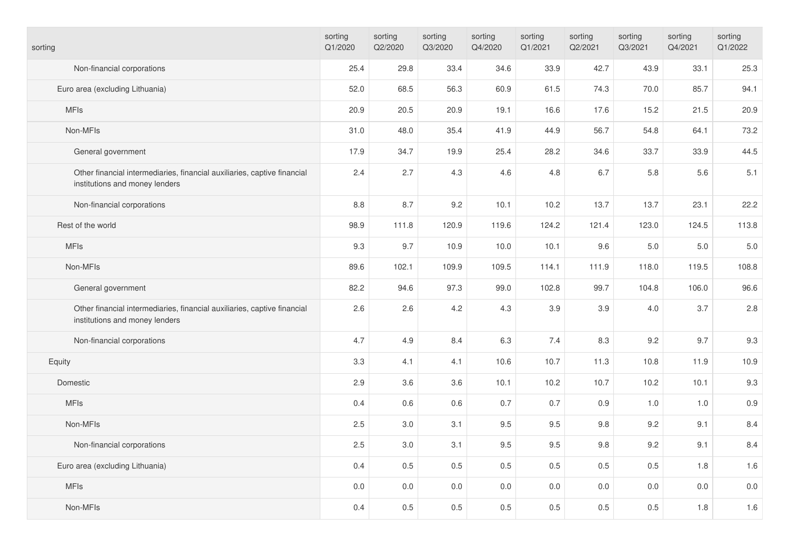| sorting                                                                                                    | sorting<br>Q1/2020 | sorting<br>Q2/2020 | sorting<br>Q3/2020 | sorting<br>Q4/2020 | sorting<br>Q1/2021 | sorting<br>Q2/2021 | sorting<br>Q3/2021 | sorting<br>Q4/2021 | sorting<br>Q1/2022 |
|------------------------------------------------------------------------------------------------------------|--------------------|--------------------|--------------------|--------------------|--------------------|--------------------|--------------------|--------------------|--------------------|
| Non-financial corporations                                                                                 | 25.4               | 29.8               | 33.4               | 34.6               | 33.9               | 42.7               | 43.9               | 33.1               | 25.3               |
| Euro area (excluding Lithuania)                                                                            | 52.0               | 68.5               | 56.3               | 60.9               | 61.5               | 74.3               | 70.0               | 85.7               | 94.1               |
| <b>MFIs</b>                                                                                                | 20.9               | 20.5               | 20.9               | 19.1               | 16.6               | 17.6               | 15.2               | 21.5               | 20.9               |
| Non-MFIs                                                                                                   | 31.0               | 48.0               | 35.4               | 41.9               | 44.9               | 56.7               | 54.8               | 64.1               | 73.2               |
| General government                                                                                         | 17.9               | 34.7               | 19.9               | 25.4               | 28.2               | 34.6               | 33.7               | 33.9               | 44.5               |
| Other financial intermediaries, financial auxiliaries, captive financial<br>institutions and money lenders | 2.4                | 2.7                | 4.3                | 4.6                | 4.8                | 6.7                | 5.8                | 5.6                | 5.1                |
| Non-financial corporations                                                                                 | 8.8                | 8.7                | 9.2                | 10.1               | 10.2               | 13.7               | 13.7               | 23.1               | 22.2               |
| Rest of the world                                                                                          | 98.9               | 111.8              | 120.9              | 119.6              | 124.2              | 121.4              | 123.0              | 124.5              | 113.8              |
| <b>MFIs</b>                                                                                                | 9.3                | 9.7                | 10.9               | 10.0               | 10.1               | 9.6                | 5.0                | 5.0                | $5.0\,$            |
| Non-MFIs                                                                                                   | 89.6               | 102.1              | 109.9              | 109.5              | 114.1              | 111.9              | 118.0              | 119.5              | 108.8              |
| General government                                                                                         | 82.2               | 94.6               | 97.3               | 99.0               | 102.8              | 99.7               | 104.8              | 106.0              | 96.6               |
| Other financial intermediaries, financial auxiliaries, captive financial<br>institutions and money lenders | 2.6                | 2.6                | 4.2                | 4.3                | 3.9                | 3.9                | 4.0                | 3.7                | 2.8                |
| Non-financial corporations                                                                                 | 4.7                | 4.9                | 8.4                | 6.3                | 7.4                | 8.3                | 9.2                | 9.7                | 9.3                |
| Equity                                                                                                     | 3.3                | 4.1                | 4.1                | 10.6               | 10.7               | 11.3               | 10.8               | 11.9               | 10.9               |
| Domestic                                                                                                   | 2.9                | 3.6                | 3.6                | 10.1               | 10.2               | 10.7               | 10.2               | 10.1               | 9.3                |
| <b>MFIs</b>                                                                                                | 0.4                | 0.6                | 0.6                | 0.7                | 0.7                | 0.9                | $1.0$              | 1.0                | $0.9\,$            |
| Non-MFIs                                                                                                   | 2.5                | $3.0\,$            | 3.1                | 9.5                | 9.5                | 9.8                | 9.2                | 9.1                | 8.4                |
| Non-financial corporations                                                                                 | 2.5                | 3.0                | 3.1                | 9.5                | 9.5                | 9.8                | 9.2                | 9.1                | 8.4                |
| Euro area (excluding Lithuania)                                                                            | 0.4                | 0.5                | 0.5                | 0.5                | 0.5                | 0.5                | 0.5                | 1.8                | 1.6                |
| <b>MFIs</b>                                                                                                | $0.0\,$            | $0.0\,$            | $0.0\,$            | 0.0                | 0.0                | 0.0                | 0.0                | $0.0\,$            | $0.0\,$            |
| Non-MFIs                                                                                                   | 0.4                | 0.5                | 0.5                | 0.5                | 0.5                | 0.5                | 0.5                | 1.8                | 1.6                |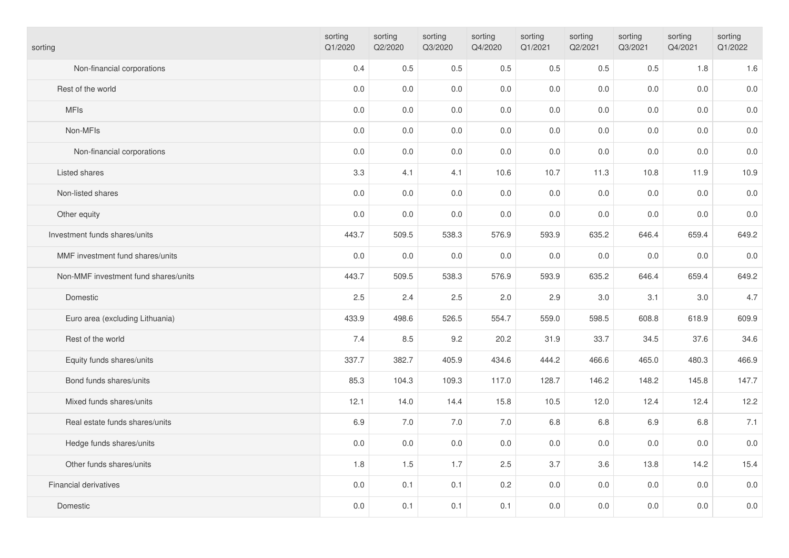| sorting                              | sorting<br>Q1/2020 | sorting<br>Q2/2020 | sorting<br>Q3/2020 | sorting<br>Q4/2020 | sorting<br>Q1/2021 | sorting<br>Q2/2021 | sorting<br>Q3/2021 | sorting<br>Q4/2021 | sorting<br>Q1/2022 |
|--------------------------------------|--------------------|--------------------|--------------------|--------------------|--------------------|--------------------|--------------------|--------------------|--------------------|
| Non-financial corporations           | 0.4                | 0.5                | 0.5                | 0.5                | 0.5                | 0.5                | 0.5                | 1.8                | 1.6                |
| Rest of the world                    | $0.0\,$            | $0.0\,$            | 0.0                | $0.0\,$            | 0.0                | 0.0                | 0.0                | $0.0\,$            | $0.0\,$            |
| <b>MFIs</b>                          | 0.0                | $0.0\,$            | 0.0                | $0.0\,$            | 0.0                | 0.0                | 0.0                | $0.0\,$            | $0.0\,$            |
| Non-MFIs                             | 0.0                | 0.0                | 0.0                | 0.0                | 0.0                | 0.0                | 0.0                | 0.0                | $0.0\,$            |
| Non-financial corporations           | $0.0\,$            | $0.0\,$            | $0.0\,$            | $0.0\,$            | 0.0                | $0.0\,$            | 0.0                | $0.0\,$            | $0.0\,$            |
| Listed shares                        | 3.3                | 4.1                | 4.1                | 10.6               | 10.7               | 11.3               | 10.8               | 11.9               | 10.9               |
| Non-listed shares                    | 0.0                | 0.0                | 0.0                | 0.0                | 0.0                | 0.0                | 0.0                | 0.0                | $0.0\,$            |
| Other equity                         | $0.0\,$            | $0.0\,$            | 0.0                | $0.0\,$            | 0.0                | 0.0                | 0.0                | $0.0\,$            | $0.0\,$            |
| Investment funds shares/units        | 443.7              | 509.5              | 538.3              | 576.9              | 593.9              | 635.2              | 646.4              | 659.4              | 649.2              |
| MMF investment fund shares/units     | 0.0                | 0.0                | 0.0                | $0.0\,$            | 0.0                | 0.0                | 0.0                | $0.0\,$            | $0.0\,$            |
| Non-MMF investment fund shares/units | 443.7              | 509.5              | 538.3              | 576.9              | 593.9              | 635.2              | 646.4              | 659.4              | 649.2              |
| Domestic                             | 2.5                | 2.4                | 2.5                | 2.0                | 2.9                | 3.0                | 3.1                | 3.0                | 4.7                |
| Euro area (excluding Lithuania)      | 433.9              | 498.6              | 526.5              | 554.7              | 559.0              | 598.5              | 608.8              | 618.9              | 609.9              |
| Rest of the world                    | 7.4                | 8.5                | 9.2                | 20.2               | 31.9               | 33.7               | 34.5               | 37.6               | 34.6               |
| Equity funds shares/units            | 337.7              | 382.7              | 405.9              | 434.6              | 444.2              | 466.6              | 465.0              | 480.3              | 466.9              |
| Bond funds shares/units              | 85.3               | 104.3              | 109.3              | 117.0              | 128.7              | 146.2              | 148.2              | 145.8              | 147.7              |
| Mixed funds shares/units             | 12.1               | 14.0               | 14.4               | 15.8               | 10.5               | 12.0               | 12.4               | 12.4               | 12.2               |
| Real estate funds shares/units       | 6.9                | 7.0                | 7.0                | 7.0                | 6.8                | 6.8                | 6.9                | 6.8                | 7.1                |
| Hedge funds shares/units             | $0.0\,$            | $0.0\,$            | 0.0                | $0.0\,$            | 0.0                | 0.0                | $0.0\,$            | $0.0\,$            | $0.0\,$            |
| Other funds shares/units             | 1.8                | 1.5                | 1.7                | 2.5                | 3.7                | 3.6                | 13.8               | 14.2               | 15.4               |
| Financial derivatives                | 0.0                | 0.1                | 0.1                | 0.2                | 0.0                | 0.0                | 0.0                | 0.0                | $0.0\,$            |
| Domestic                             | 0.0                | 0.1                | 0.1                | 0.1                | 0.0                | 0.0                | 0.0                | $0.0\,$            | $0.0\,$            |